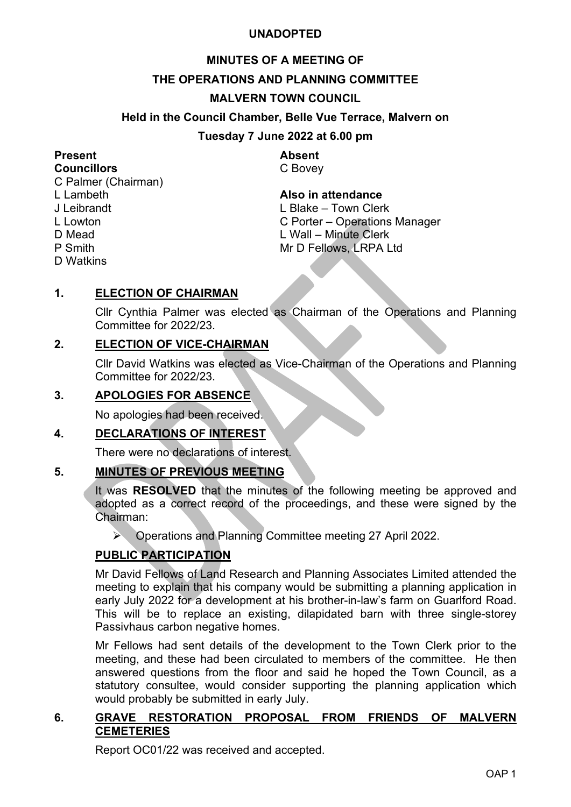#### **UNADOPTED**

# **MINUTES OF A MEETING OF**

#### **THE OPERATIONS AND PLANNING COMMITTEE**

#### **MALVERN TOWN COUNCIL**

#### **Held in the Council Chamber, Belle Vue Terrace, Malvern on**

#### **Tuesday 7 June 2022 at 6.00 pm**

# **Present Absent**

C Palmer (Chairman) L Lambeth **Also in attendance** D Mead L Wall – Minute Clerk<br>P Smith – Mr D Fellows, LRPA L D Watkins

**Councillors** C Bovey

L. Blake – Town Clerk L Lowton C Porter – Operations Manager Mr D Fellows, LRPA Ltd

#### **1. ELECTION OF CHAIRMAN**

Cllr Cynthia Palmer was elected as Chairman of the Operations and Planning Committee for 2022/23.

#### **2. ELECTION OF VICE-CHAIRMAN**

Cllr David Watkins was elected as Vice-Chairman of the Operations and Planning Committee for 2022/23.

#### **3. APOLOGIES FOR ABSENCE**

No apologies had been received.

#### **4. DECLARATIONS OF INTEREST**

There were no declarations of interest.

#### **5. MINUTES OF PREVIOUS MEETING**

It was **RESOLVED** that the minutes of the following meeting be approved and adopted as a correct record of the proceedings, and these were signed by the Chairman:

Operations and Planning Committee meeting 27 April 2022.

#### **PUBLIC PARTICIPATION**

Mr David Fellows of Land Research and Planning Associates Limited attended the meeting to explain that his company would be submitting a planning application in early July 2022 for a development at his brother-in-law's farm on Guarlford Road. This will be to replace an existing, dilapidated barn with three single-storey Passivhaus carbon negative homes.

Mr Fellows had sent details of the development to the Town Clerk prior to the meeting, and these had been circulated to members of the committee. He then answered questions from the floor and said he hoped the Town Council, as a statutory consultee, would consider supporting the planning application which would probably be submitted in early July.

#### **6. GRAVE RESTORATION PROPOSAL FROM FRIENDS OF MALVERN CEMETERIES**

Report OC01/22 was received and accepted.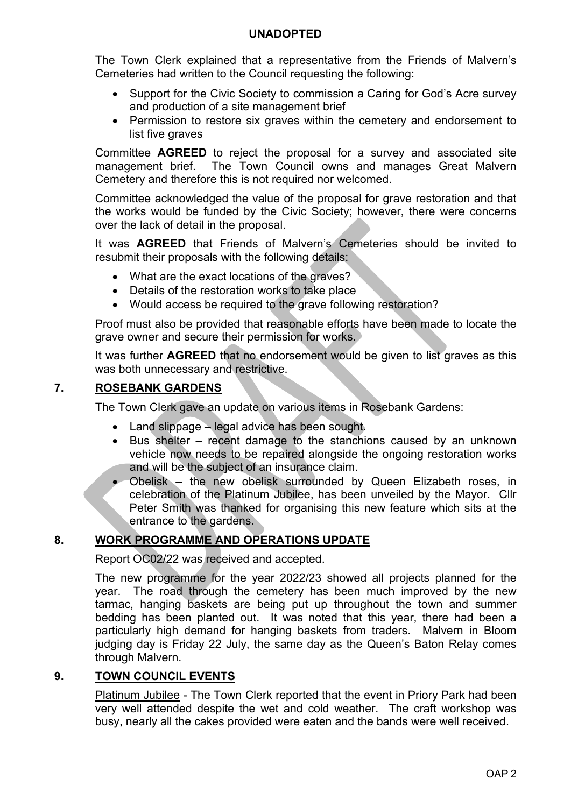#### **UNADOPTED**

The Town Clerk explained that a representative from the Friends of Malvern's Cemeteries had written to the Council requesting the following:

- Support for the Civic Society to commission a Caring for God's Acre survey and production of a site management brief
- Permission to restore six graves within the cemetery and endorsement to list five graves

Committee **AGREED** to reject the proposal for a survey and associated site management brief. The Town Council owns and manages Great Malvern Cemetery and therefore this is not required nor welcomed.

Committee acknowledged the value of the proposal for grave restoration and that the works would be funded by the Civic Society; however, there were concerns over the lack of detail in the proposal.

It was **AGREED** that Friends of Malvern's Cemeteries should be invited to resubmit their proposals with the following details:

- What are the exact locations of the graves?
- Details of the restoration works to take place
- Would access be required to the grave following restoration?

Proof must also be provided that reasonable efforts have been made to locate the grave owner and secure their permission for works.

It was further **AGREED** that no endorsement would be given to list graves as this was both unnecessary and restrictive.

### **7. ROSEBANK GARDENS**

The Town Clerk gave an update on various items in Rosebank Gardens:

- Land slippage legal advice has been sought.
- Bus shelter recent damage to the stanchions caused by an unknown vehicle now needs to be repaired alongside the ongoing restoration works and will be the subject of an insurance claim.
- Obelisk the new obelisk surrounded by Queen Elizabeth roses, in celebration of the Platinum Jubilee, has been unveiled by the Mayor. Cllr Peter Smith was thanked for organising this new feature which sits at the entrance to the gardens.

## **8. WORK PROGRAMME AND OPERATIONS UPDATE**

Report OC02/22 was received and accepted.

The new programme for the year 2022/23 showed all projects planned for the year. The road through the cemetery has been much improved by the new tarmac, hanging baskets are being put up throughout the town and summer bedding has been planted out. It was noted that this year, there had been a particularly high demand for hanging baskets from traders. Malvern in Bloom judging day is Friday 22 July, the same day as the Queen's Baton Relay comes through Malvern.

# **9. TOWN COUNCIL EVENTS**

Platinum Jubilee - The Town Clerk reported that the event in Priory Park had been very well attended despite the wet and cold weather. The craft workshop was busy, nearly all the cakes provided were eaten and the bands were well received.